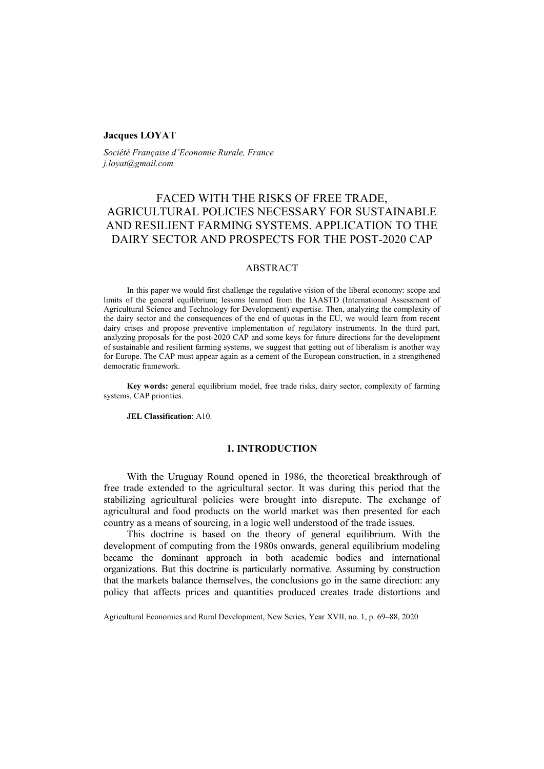### **Jacques LOYAT**

*Société Française d'Economie Rurale, France j.loyat@gmail.com*

# FACED WITH THE RISKS OF FREE TRADE, AGRICULTURAL POLICIES NECESSARY FOR SUSTAINABLE AND RESILIENT FARMING SYSTEMS. APPLICATION TO THE DAIRY SECTOR AND PROSPECTS FOR THE POST-2020 CAP

# ABSTRACT

In this paper we would first challenge the regulative vision of the liberal economy: scope and limits of the general equilibrium; lessons learned from the IAASTD (International Assessment of Agricultural Science and Technology for Development) expertise. Then, analyzing the complexity of the dairy sector and the consequences of the end of quotas in the EU, we would learn from recent dairy crises and propose preventive implementation of regulatory instruments. In the third part, analyzing proposals for the post-2020 CAP and some keys for future directions for the development of sustainable and resilient farming systems, we suggest that getting out of liberalism is another way for Europe. The CAP must appear again as a cement of the European construction, in a strengthened democratic framework.

**Key words:** general equilibrium model, free trade risks, dairy sector, complexity of farming systems, CAP priorities.

**JEL Classification**: A10.

### **1. INTRODUCTION**

With the Uruguay Round opened in 1986, the theoretical breakthrough of free trade extended to the agricultural sector. It was during this period that the stabilizing agricultural policies were brought into disrepute. The exchange of agricultural and food products on the world market was then presented for each country as a means of sourcing, in a logic well understood of the trade issues.

This doctrine is based on the theory of general equilibrium. With the development of computing from the 1980s onwards, general equilibrium modeling became the dominant approach in both academic bodies and international organizations. But this doctrine is particularly normative. Assuming by construction that the markets balance themselves, the conclusions go in the same direction: any policy that affects prices and quantities produced creates trade distortions and

Agricultural Economics and Rural Development, New Series, Year XVII, no. 1, p. 69–88, 2020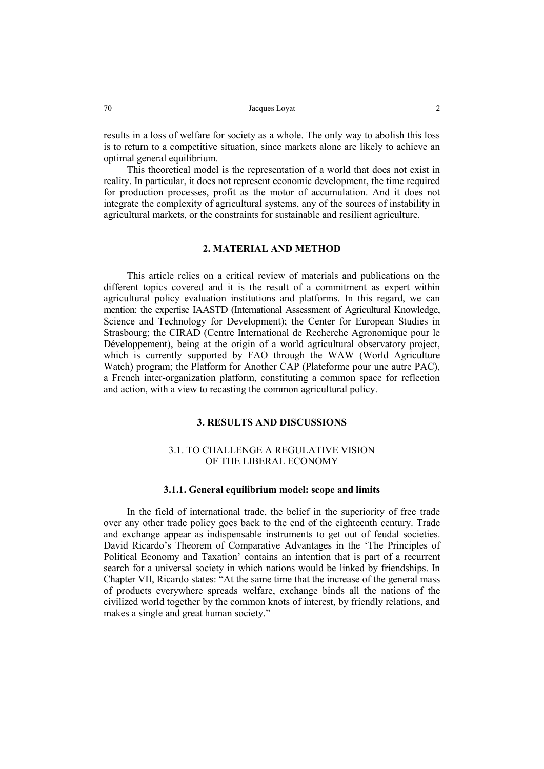results in a loss of welfare for society as a whole. The only way to abolish this loss is to return to a competitive situation, since markets alone are likely to achieve an optimal general equilibrium.

This theoretical model is the representation of a world that does not exist in reality. In particular, it does not represent economic development, the time required for production processes, profit as the motor of accumulation. And it does not integrate the complexity of agricultural systems, any of the sources of instability in agricultural markets, or the constraints for sustainable and resilient agriculture.

# **2. MATERIAL AND METHOD**

This article relies on a critical review of materials and publications on the different topics covered and it is the result of a commitment as expert within agricultural policy evaluation institutions and platforms. In this regard, we can mention: the expertise IAASTD (International Assessment of Agricultural Knowledge, Science and Technology for Development); the Center for European Studies in Strasbourg; the CIRAD (Centre International de Recherche Agronomique pour le Développement), being at the origin of a world agricultural observatory project, which is currently supported by FAO through the WAW (World Agriculture Watch) program; the Platform for Another CAP (Plateforme pour une autre PAC), a French inter-organization platform, constituting a common space for reflection and action, with a view to recasting the common agricultural policy.

### **3. RESULTS AND DISCUSSIONS**

# 3.1. TO CHALLENGE A REGULATIVE VISION OF THE LIBERAL ECONOMY

#### **3.1.1. General equilibrium model: scope and limits**

In the field of international trade, the belief in the superiority of free trade over any other trade policy goes back to the end of the eighteenth century. Trade and exchange appear as indispensable instruments to get out of feudal societies. David Ricardo's Theorem of Comparative Advantages in the 'The Principles of Political Economy and Taxation' contains an intention that is part of a recurrent search for a universal society in which nations would be linked by friendships. In Chapter VII, Ricardo states: "At the same time that the increase of the general mass of products everywhere spreads welfare, exchange binds all the nations of the civilized world together by the common knots of interest, by friendly relations, and makes a single and great human society."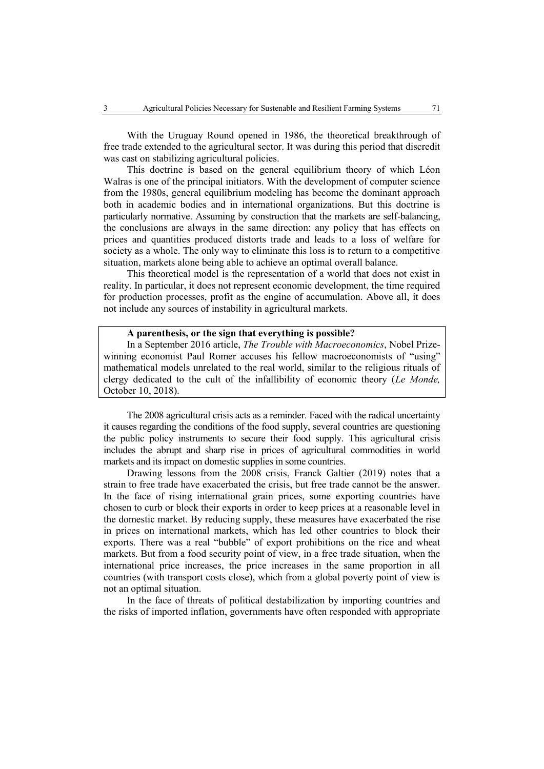With the Uruguay Round opened in 1986, the theoretical breakthrough of free trade extended to the agricultural sector. It was during this period that discredit was cast on stabilizing agricultural policies.

This doctrine is based on the general equilibrium theory of which Léon Walras is one of the principal initiators. With the development of computer science from the 1980s, general equilibrium modeling has become the dominant approach both in academic bodies and in international organizations. But this doctrine is particularly normative. Assuming by construction that the markets are self-balancing, the conclusions are always in the same direction: any policy that has effects on prices and quantities produced distorts trade and leads to a loss of welfare for society as a whole. The only way to eliminate this loss is to return to a competitive situation, markets alone being able to achieve an optimal overall balance.

This theoretical model is the representation of a world that does not exist in reality. In particular, it does not represent economic development, the time required for production processes, profit as the engine of accumulation. Above all, it does not include any sources of instability in agricultural markets.

### **A parenthesis, or the sign that everything is possible?**

In a September 2016 article, *The Trouble with Macroeconomics*, Nobel Prizewinning economist Paul Romer accuses his fellow macroeconomists of "using" mathematical models unrelated to the real world, similar to the religious rituals of clergy dedicated to the cult of the infallibility of economic theory (*Le Monde,* October 10, 2018).

The 2008 agricultural crisis acts as a reminder. Faced with the radical uncertainty it causes regarding the conditions of the food supply, several countries are questioning the public policy instruments to secure their food supply. This agricultural crisis includes the abrupt and sharp rise in prices of agricultural commodities in world markets and its impact on domestic supplies in some countries.

Drawing lessons from the 2008 crisis, Franck Galtier (2019) notes that a strain to free trade have exacerbated the crisis, but free trade cannot be the answer. In the face of rising international grain prices, some exporting countries have chosen to curb or block their exports in order to keep prices at a reasonable level in the domestic market. By reducing supply, these measures have exacerbated the rise in prices on international markets, which has led other countries to block their exports. There was a real "bubble" of export prohibitions on the rice and wheat markets. But from a food security point of view, in a free trade situation, when the international price increases, the price increases in the same proportion in all countries (with transport costs close), which from a global poverty point of view is not an optimal situation.

In the face of threats of political destabilization by importing countries and the risks of imported inflation, governments have often responded with appropriate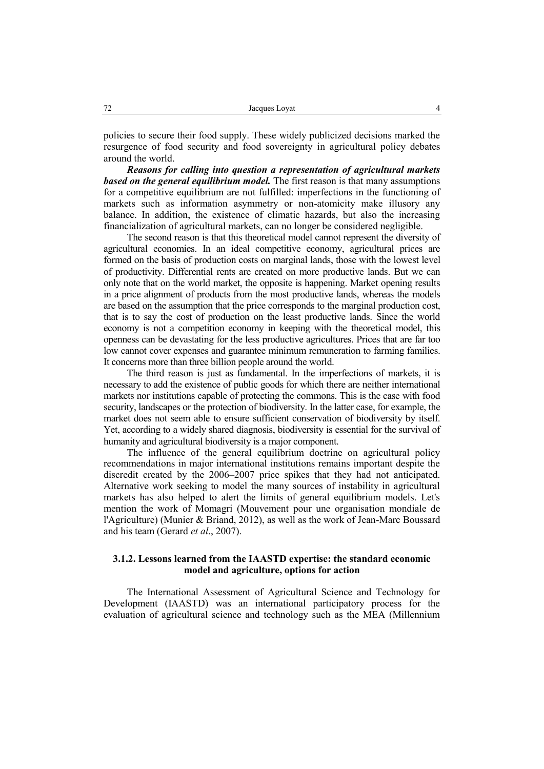policies to secure their food supply. These widely publicized decisions marked the resurgence of food security and food sovereignty in agricultural policy debates around the world.

*Reasons for calling into question a representation of agricultural markets based on the general equilibrium model.* The first reason is that many assumptions for a competitive equilibrium are not fulfilled: imperfections in the functioning of markets such as information asymmetry or non-atomicity make illusory any balance. In addition, the existence of climatic hazards, but also the increasing financialization of agricultural markets, can no longer be considered negligible.

The second reason is that this theoretical model cannot represent the diversity of agricultural economies. In an ideal competitive economy, agricultural prices are formed on the basis of production costs on marginal lands, those with the lowest level of productivity. Differential rents are created on more productive lands. But we can only note that on the world market, the opposite is happening. Market opening results in a price alignment of products from the most productive lands, whereas the models are based on the assumption that the price corresponds to the marginal production cost, that is to say the cost of production on the least productive lands. Since the world economy is not a competition economy in keeping with the theoretical model, this openness can be devastating for the less productive agricultures. Prices that are far too low cannot cover expenses and guarantee minimum remuneration to farming families. It concerns more than three billion people around the world.

The third reason is just as fundamental. In the imperfections of markets, it is necessary to add the existence of public goods for which there are neither international markets nor institutions capable of protecting the commons. This is the case with food security, landscapes or the protection of biodiversity. In the latter case, for example, the market does not seem able to ensure sufficient conservation of biodiversity by itself. Yet, according to a widely shared diagnosis, biodiversity is essential for the survival of humanity and agricultural biodiversity is a major component.

The influence of the general equilibrium doctrine on agricultural policy recommendations in major international institutions remains important despite the discredit created by the 2006–2007 price spikes that they had not anticipated. Alternative work seeking to model the many sources of instability in agricultural markets has also helped to alert the limits of general equilibrium models. Let's mention the work of Momagri (Mouvement pour une organisation mondiale de l'Agriculture) (Munier & Briand, 2012), as well as the work of Jean-Marc Boussard and his team (Gerard *et al*., 2007).

# **3.1.2. Lessons learned from the IAASTD expertise: the standard economic model and agriculture, options for action**

The International Assessment of Agricultural Science and Technology for Development (IAASTD) was an international participatory process for the evaluation of agricultural science and technology such as the MEA (Millennium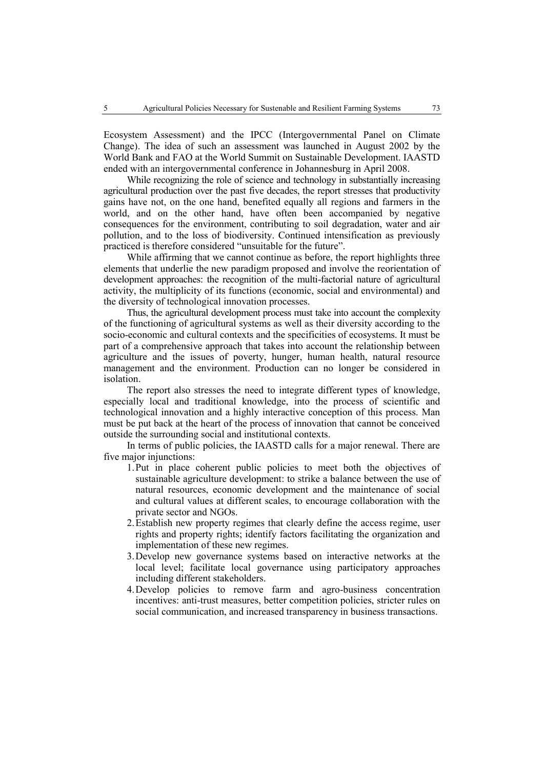Ecosystem Assessment) and the IPCC (Intergovernmental Panel on Climate Change). The idea of such an assessment was launched in August 2002 by the World Bank and FAO at the World Summit on Sustainable Development. IAASTD ended with an intergovernmental conference in Johannesburg in April 2008.

While recognizing the role of science and technology in substantially increasing agricultural production over the past five decades, the report stresses that productivity gains have not, on the one hand, benefited equally all regions and farmers in the world, and on the other hand, have often been accompanied by negative consequences for the environment, contributing to soil degradation, water and air pollution, and to the loss of biodiversity. Continued intensification as previously practiced is therefore considered "unsuitable for the future".

While affirming that we cannot continue as before, the report highlights three elements that underlie the new paradigm proposed and involve the reorientation of development approaches: the recognition of the multi-factorial nature of agricultural activity, the multiplicity of its functions (economic, social and environmental) and the diversity of technological innovation processes.

Thus, the agricultural development process must take into account the complexity of the functioning of agricultural systems as well as their diversity according to the socio-economic and cultural contexts and the specificities of ecosystems. It must be part of a comprehensive approach that takes into account the relationship between agriculture and the issues of poverty, hunger, human health, natural resource management and the environment. Production can no longer be considered in isolation.

The report also stresses the need to integrate different types of knowledge, especially local and traditional knowledge, into the process of scientific and technological innovation and a highly interactive conception of this process. Man must be put back at the heart of the process of innovation that cannot be conceived outside the surrounding social and institutional contexts.

In terms of public policies, the IAASTD calls for a major renewal. There are five major injunctions:

- 1.Put in place coherent public policies to meet both the objectives of sustainable agriculture development: to strike a balance between the use of natural resources, economic development and the maintenance of social and cultural values at different scales, to encourage collaboration with the private sector and NGOs.
- 2.Establish new property regimes that clearly define the access regime, user rights and property rights; identify factors facilitating the organization and implementation of these new regimes.
- 3.Develop new governance systems based on interactive networks at the local level; facilitate local governance using participatory approaches including different stakeholders.
- 4.Develop policies to remove farm and agro-business concentration incentives: anti-trust measures, better competition policies, stricter rules on social communication, and increased transparency in business transactions.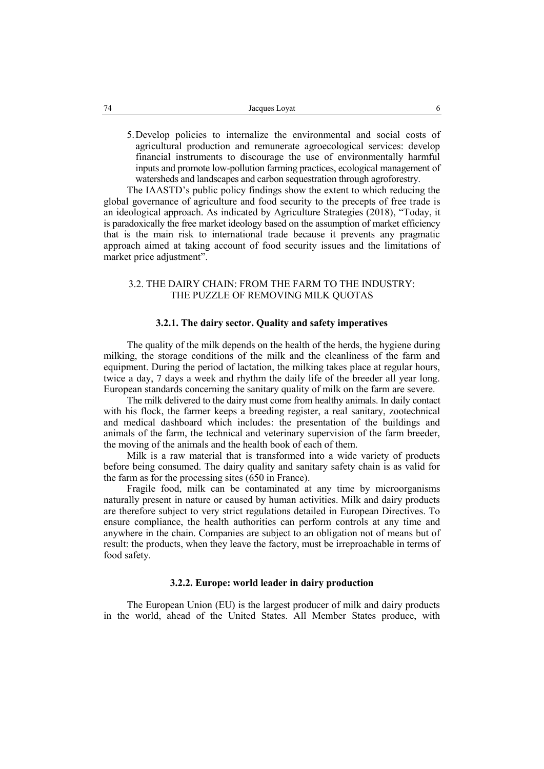5.Develop policies to internalize the environmental and social costs of agricultural production and remunerate agroecological services: develop financial instruments to discourage the use of environmentally harmful inputs and promote low-pollution farming practices, ecological management of watersheds and landscapes and carbon sequestration through agroforestry.

The IAASTD's public policy findings show the extent to which reducing the global governance of agriculture and food security to the precepts of free trade is an ideological approach. As indicated by Agriculture Strategies (2018), "Today, it is paradoxically the free market ideology based on the assumption of market efficiency that is the main risk to international trade because it prevents any pragmatic approach aimed at taking account of food security issues and the limitations of market price adjustment".

# 3.2. THE DAIRY CHAIN: FROM THE FARM TO THE INDUSTRY: THE PUZZLE OF REMOVING MILK QUOTAS

#### **3.2.1. The dairy sector. Quality and safety imperatives**

The quality of the milk depends on the health of the herds, the hygiene during milking, the storage conditions of the milk and the cleanliness of the farm and equipment. During the period of lactation, the milking takes place at regular hours, twice a day, 7 days a week and rhythm the daily life of the breeder all year long. European standards concerning the sanitary quality of milk on the farm are severe.

The milk delivered to the dairy must come from healthy animals. In daily contact with his flock, the farmer keeps a breeding register, a real sanitary, zootechnical and medical dashboard which includes: the presentation of the buildings and animals of the farm, the technical and veterinary supervision of the farm breeder, the moving of the animals and the health book of each of them.

Milk is a raw material that is transformed into a wide variety of products before being consumed. The dairy quality and sanitary safety chain is as valid for the farm as for the processing sites (650 in France).

Fragile food, milk can be contaminated at any time by microorganisms naturally present in nature or caused by human activities. Milk and dairy products are therefore subject to very strict regulations detailed in European Directives. To ensure compliance, the health authorities can perform controls at any time and anywhere in the chain. Companies are subject to an obligation not of means but of result: the products, when they leave the factory, must be irreproachable in terms of food safety.

#### **3.2.2. Europe: world leader in dairy production**

The European Union (EU) is the largest producer of milk and dairy products in the world, ahead of the United States. All Member States produce, with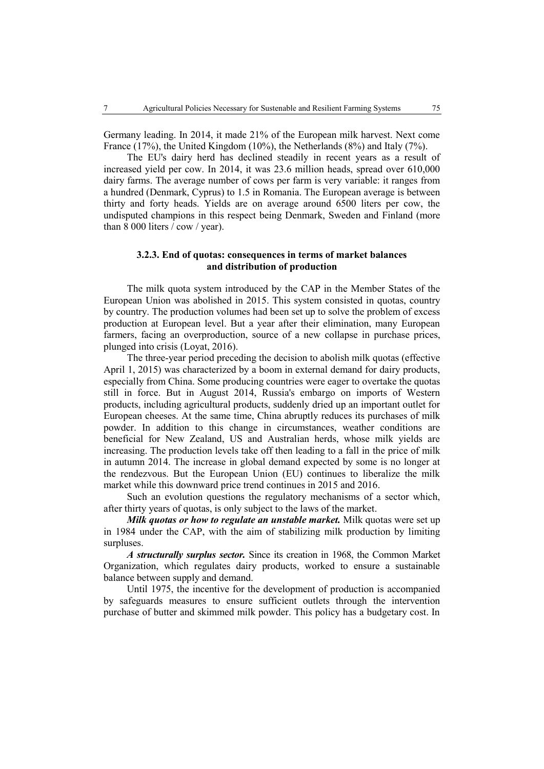Germany leading. In 2014, it made 21% of the European milk harvest. Next come France (17%), the United Kingdom (10%), the Netherlands (8%) and Italy (7%).

The EU's dairy herd has declined steadily in recent years as a result of increased yield per cow. In 2014, it was 23.6 million heads, spread over 610,000 dairy farms. The average number of cows per farm is very variable: it ranges from a hundred (Denmark, Cyprus) to 1.5 in Romania. The European average is between thirty and forty heads. Yields are on average around 6500 liters per cow, the undisputed champions in this respect being Denmark, Sweden and Finland (more than 8 000 liters / cow / year).

# **3.2.3. End of quotas: consequences in terms of market balances and distribution of production**

The milk quota system introduced by the CAP in the Member States of the European Union was abolished in 2015. This system consisted in quotas, country by country. The production volumes had been set up to solve the problem of excess production at European level. But a year after their elimination, many European farmers, facing an overproduction, source of a new collapse in purchase prices, plunged into crisis (Loyat, 2016).

The three-year period preceding the decision to abolish milk quotas (effective April 1, 2015) was characterized by a boom in external demand for dairy products, especially from China. Some producing countries were eager to overtake the quotas still in force. But in August 2014, Russia's embargo on imports of Western products, including agricultural products, suddenly dried up an important outlet for European cheeses. At the same time, China abruptly reduces its purchases of milk powder. In addition to this change in circumstances, weather conditions are beneficial for New Zealand, US and Australian herds, whose milk yields are increasing. The production levels take off then leading to a fall in the price of milk in autumn 2014. The increase in global demand expected by some is no longer at the rendezvous. But the European Union (EU) continues to liberalize the milk market while this downward price trend continues in 2015 and 2016.

Such an evolution questions the regulatory mechanisms of a sector which, after thirty years of quotas, is only subject to the laws of the market.

*Milk quotas or how to regulate an unstable market.* Milk quotas were set up in 1984 under the CAP, with the aim of stabilizing milk production by limiting surpluses.

*A structurally surplus sector.* Since its creation in 1968, the Common Market Organization, which regulates dairy products, worked to ensure a sustainable balance between supply and demand.

Until 1975, the incentive for the development of production is accompanied by safeguards measures to ensure sufficient outlets through the intervention purchase of butter and skimmed milk powder. This policy has a budgetary cost. In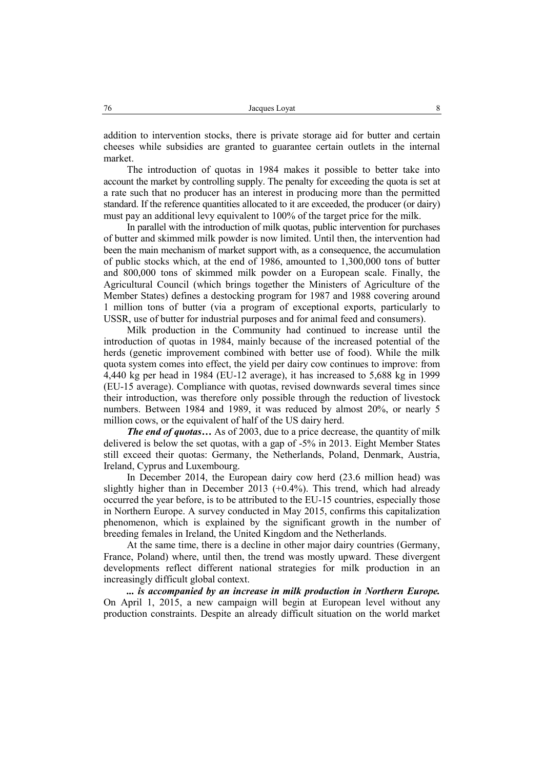addition to intervention stocks, there is private storage aid for butter and certain cheeses while subsidies are granted to guarantee certain outlets in the internal market.

The introduction of quotas in 1984 makes it possible to better take into account the market by controlling supply. The penalty for exceeding the quota is set at a rate such that no producer has an interest in producing more than the permitted standard. If the reference quantities allocated to it are exceeded, the producer (or dairy) must pay an additional levy equivalent to 100% of the target price for the milk.

In parallel with the introduction of milk quotas, public intervention for purchases of butter and skimmed milk powder is now limited. Until then, the intervention had been the main mechanism of market support with, as a consequence, the accumulation of public stocks which, at the end of 1986, amounted to 1,300,000 tons of butter and 800,000 tons of skimmed milk powder on a European scale. Finally, the Agricultural Council (which brings together the Ministers of Agriculture of the Member States) defines a destocking program for 1987 and 1988 covering around 1 million tons of butter (via a program of exceptional exports, particularly to USSR, use of butter for industrial purposes and for animal feed and consumers).

Milk production in the Community had continued to increase until the introduction of quotas in 1984, mainly because of the increased potential of the herds (genetic improvement combined with better use of food). While the milk quota system comes into effect, the yield per dairy cow continues to improve: from 4,440 kg per head in 1984 (EU-12 average), it has increased to 5,688 kg in 1999 (EU-15 average). Compliance with quotas, revised downwards several times since their introduction, was therefore only possible through the reduction of livestock numbers. Between 1984 and 1989, it was reduced by almost 20%, or nearly 5 million cows, or the equivalent of half of the US dairy herd.

*The end of quotas…* As of 2003, due to a price decrease, the quantity of milk delivered is below the set quotas, with a gap of -5% in 2013. Eight Member States still exceed their quotas: Germany, the Netherlands, Poland, Denmark, Austria, Ireland, Cyprus and Luxembourg.

In December 2014, the European dairy cow herd (23.6 million head) was slightly higher than in December 2013 (+0.4%). This trend, which had already occurred the year before, is to be attributed to the EU-15 countries, especially those in Northern Europe. A survey conducted in May 2015, confirms this capitalization phenomenon, which is explained by the significant growth in the number of breeding females in Ireland, the United Kingdom and the Netherlands.

At the same time, there is a decline in other major dairy countries (Germany, France, Poland) where, until then, the trend was mostly upward. These divergent developments reflect different national strategies for milk production in an increasingly difficult global context.

*... is accompanied by an increase in milk production in Northern Europe.*  On April 1, 2015, a new campaign will begin at European level without any production constraints. Despite an already difficult situation on the world market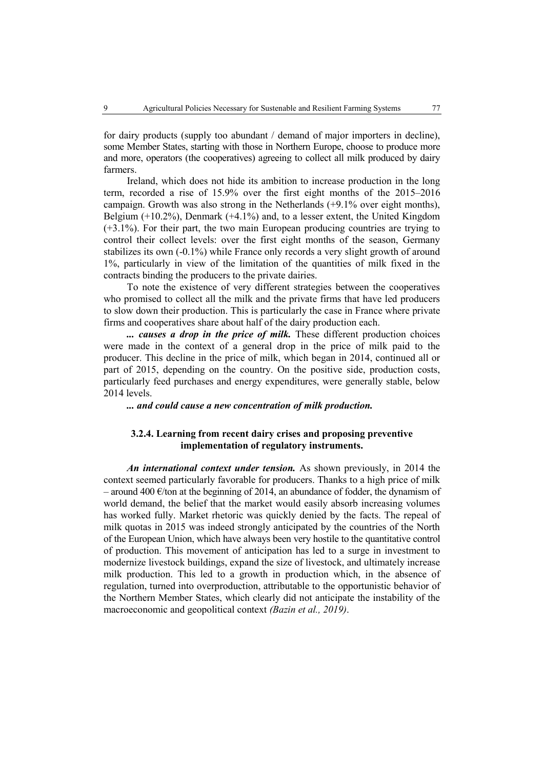for dairy products (supply too abundant / demand of major importers in decline), some Member States, starting with those in Northern Europe, choose to produce more and more, operators (the cooperatives) agreeing to collect all milk produced by dairy farmers.

Ireland, which does not hide its ambition to increase production in the long term, recorded a rise of 15.9% over the first eight months of the 2015–2016 campaign. Growth was also strong in the Netherlands (+9.1% over eight months), Belgium (+10.2%), Denmark (+4.1%) and, to a lesser extent, the United Kingdom (+3.1%). For their part, the two main European producing countries are trying to control their collect levels: over the first eight months of the season, Germany stabilizes its own (-0.1%) while France only records a very slight growth of around 1%, particularly in view of the limitation of the quantities of milk fixed in the contracts binding the producers to the private dairies.

To note the existence of very different strategies between the cooperatives who promised to collect all the milk and the private firms that have led producers to slow down their production. This is particularly the case in France where private firms and cooperatives share about half of the dairy production each.

*... causes a drop in the price of milk.* These different production choices were made in the context of a general drop in the price of milk paid to the producer. This decline in the price of milk, which began in 2014, continued all or part of 2015, depending on the country. On the positive side, production costs, particularly feed purchases and energy expenditures, were generally stable, below 2014 levels.

*... and could cause a new concentration of milk production.*

# **3.2.4. Learning from recent dairy crises and proposing preventive implementation of regulatory instruments.**

*An international context under tension.* As shown previously, in 2014 the context seemed particularly favorable for producers. Thanks to a high price of milk – around 400  $\epsilon$ /ton at the beginning of 2014, an abundance of fodder, the dynamism of world demand, the belief that the market would easily absorb increasing volumes has worked fully. Market rhetoric was quickly denied by the facts. The repeal of milk quotas in 2015 was indeed strongly anticipated by the countries of the North of the European Union, which have always been very hostile to the quantitative control of production. This movement of anticipation has led to a surge in investment to modernize livestock buildings, expand the size of livestock, and ultimately increase milk production. This led to a growth in production which, in the absence of regulation, turned into overproduction, attributable to the opportunistic behavior of the Northern Member States, which clearly did not anticipate the instability of the macroeconomic and geopolitical context *(Bazin et al., 2019)*.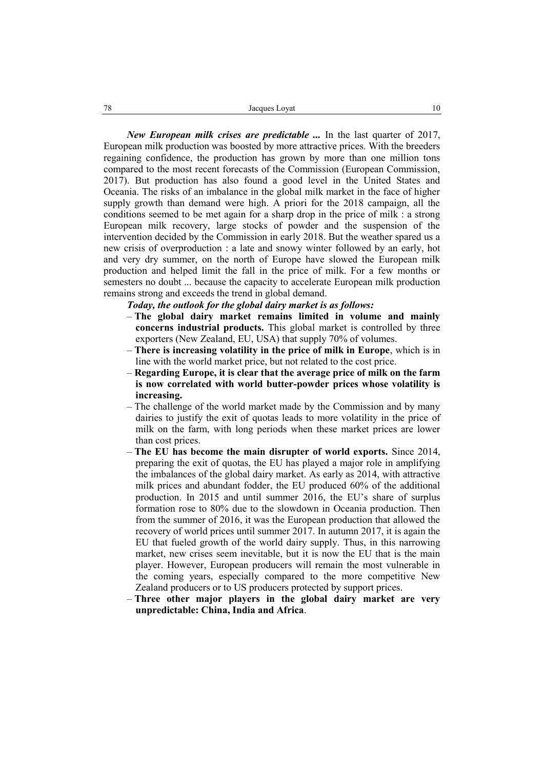*New European milk crises are predictable ...* In the last quarter of 2017, European milk production was boosted by more attractive prices. With the breeders regaining confidence, the production has grown by more than one million tons compared to the most recent forecasts of the Commission (European Commission, 2017). But production has also found a good level in the United States and Oceania. The risks of an imbalance in the global milk market in the face of higher supply growth than demand were high. A priori for the 2018 campaign, all the conditions seemed to be met again for a sharp drop in the price of milk : a strong European milk recovery, large stocks of powder and the suspension of the intervention decided by the Commission in early 2018. But the weather spared us a new crisis of overproduction : a late and snowy winter followed by an early, hot and very dry summer, on the north of Europe have slowed the European milk production and helped limit the fall in the price of milk. For a few months or semesters no doubt ... because the capacity to accelerate European milk production remains strong and exceeds the trend in global demand.

*Today, the outlook for the global dairy market is as follows:*

- **The global dairy market remains limited in volume and mainly concerns industrial products.** This global market is controlled by three exporters (New Zealand, EU, USA) that supply 70% of volumes.
- **There is increasing volatility in the price of milk in Europe**, which is in line with the world market price, but not related to the cost price.
- **Regarding Europe, it is clear that the average price of milk on the farm is now correlated with world butter-powder prices whose volatility is increasing.**
- The challenge of the world market made by the Commission and by many dairies to justify the exit of quotas leads to more volatility in the price of milk on the farm, with long periods when these market prices are lower than cost prices.
- **The EU has become the main disrupter of world exports.** Since 2014, preparing the exit of quotas, the EU has played a major role in amplifying the imbalances of the global dairy market. As early as 2014, with attractive milk prices and abundant fodder, the EU produced 60% of the additional production. In 2015 and until summer 2016, the EU's share of surplus formation rose to 80% due to the slowdown in Oceania production. Then from the summer of 2016, it was the European production that allowed the recovery of world prices until summer 2017. In autumn 2017, it is again the EU that fueled growth of the world dairy supply. Thus, in this narrowing market, new crises seem inevitable, but it is now the EU that is the main player. However, European producers will remain the most vulnerable in the coming years, especially compared to the more competitive New Zealand producers or to US producers protected by support prices.
- **Three other major players in the global dairy market are very unpredictable: China, India and Africa**.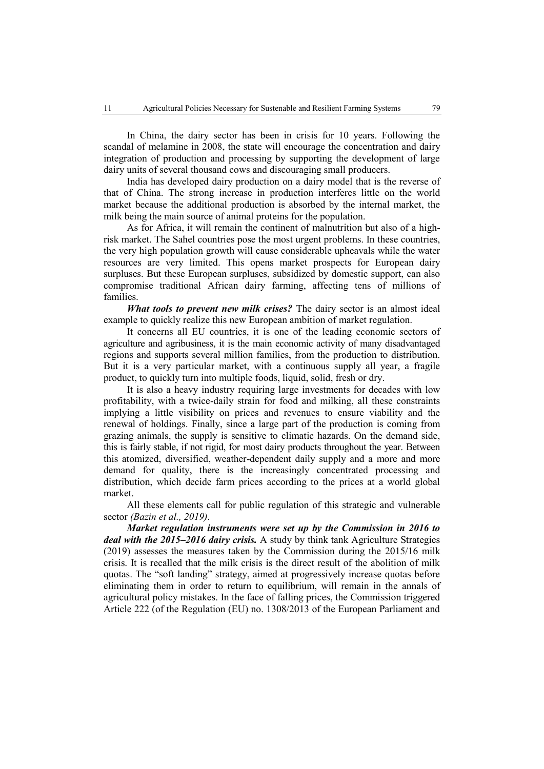In China, the dairy sector has been in crisis for 10 years. Following the scandal of melamine in 2008, the state will encourage the concentration and dairy integration of production and processing by supporting the development of large dairy units of several thousand cows and discouraging small producers.

India has developed dairy production on a dairy model that is the reverse of that of China. The strong increase in production interferes little on the world market because the additional production is absorbed by the internal market, the milk being the main source of animal proteins for the population.

As for Africa, it will remain the continent of malnutrition but also of a highrisk market. The Sahel countries pose the most urgent problems. In these countries, the very high population growth will cause considerable upheavals while the water resources are very limited. This opens market prospects for European dairy surpluses. But these European surpluses, subsidized by domestic support, can also compromise traditional African dairy farming, affecting tens of millions of families.

*What tools to prevent new milk crises?* The dairy sector is an almost ideal example to quickly realize this new European ambition of market regulation.

It concerns all EU countries, it is one of the leading economic sectors of agriculture and agribusiness, it is the main economic activity of many disadvantaged regions and supports several million families, from the production to distribution. But it is a very particular market, with a continuous supply all year, a fragile product, to quickly turn into multiple foods, liquid, solid, fresh or dry.

It is also a heavy industry requiring large investments for decades with low profitability, with a twice-daily strain for food and milking, all these constraints implying a little visibility on prices and revenues to ensure viability and the renewal of holdings. Finally, since a large part of the production is coming from grazing animals, the supply is sensitive to climatic hazards. On the demand side, this is fairly stable, if not rigid, for most dairy products throughout the year. Between this atomized, diversified, weather-dependent daily supply and a more and more demand for quality, there is the increasingly concentrated processing and distribution, which decide farm prices according to the prices at a world global market.

All these elements call for public regulation of this strategic and vulnerable sector *(Bazin et al., 2019)*.

*Market regulation instruments were set up by the Commission in 2016 to deal with the 2015–2016 dairy crisis.* A study by think tank Agriculture Strategies (2019) assesses the measures taken by the Commission during the 2015/16 milk crisis. It is recalled that the milk crisis is the direct result of the abolition of milk quotas. The "soft landing" strategy, aimed at progressively increase quotas before eliminating them in order to return to equilibrium, will remain in the annals of agricultural policy mistakes. In the face of falling prices, the Commission triggered Article 222 (of the Regulation (EU) no. 1308/2013 of the European Parliament and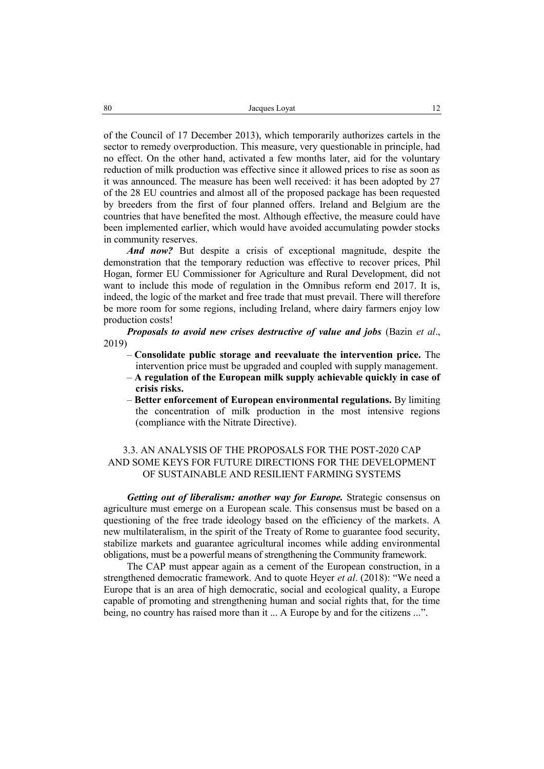of the Council of 17 December 2013), which temporarily authorizes cartels in the sector to remedy overproduction. This measure, very questionable in principle, had no effect. On the other hand, activated a few months later, aid for the voluntary reduction of milk production was effective since it allowed prices to rise as soon as it was announced. The measure has been well received: it has been adopted by 27 of the 28 EU countries and almost all of the proposed package has been requested by breeders from the first of four planned offers. Ireland and Belgium are the countries that have benefited the most. Although effective, the measure could have been implemented earlier, which would have avoided accumulating powder stocks in community reserves.

*And now?* But despite a crisis of exceptional magnitude, despite the demonstration that the temporary reduction was effective to recover prices, Phil Hogan, former EU Commissioner for Agriculture and Rural Development, did not want to include this mode of regulation in the Omnibus reform end 2017. It is, indeed, the logic of the market and free trade that must prevail. There will therefore be more room for some regions, including Ireland, where dairy farmers enjoy low production costs!

*Proposals to avoid new crises destructive of value and jobs (Bazin et al.,* 2019)

- **Consolidate public storage and reevaluate the intervention price.** The intervention price must be upgraded and coupled with supply management.
- **A regulation of the European milk supply achievable quickly in case of crisis risks.**
- **Better enforcement of European environmental regulations.** By limiting the concentration of milk production in the most intensive regions (compliance with the Nitrate Directive).

# 3.3. AN ANALYSIS OF THE PROPOSALS FOR THE POST-2020 CAP AND SOME KEYS FOR FUTURE DIRECTIONS FOR THE DEVELOPMENT OF SUSTAINABLE AND RESILIENT FARMING SYSTEMS

*Getting out of liberalism: another way for Europe.* Strategic consensus on agriculture must emerge on a European scale. This consensus must be based on a questioning of the free trade ideology based on the efficiency of the markets. A new multilateralism, in the spirit of the Treaty of Rome to guarantee food security, stabilize markets and guarantee agricultural incomes while adding environmental obligations, must be a powerful means of strengthening the Community framework.

The CAP must appear again as a cement of the European construction, in a strengthened democratic framework. And to quote Heyer *et al*. (2018): "We need a Europe that is an area of high democratic, social and ecological quality, a Europe capable of promoting and strengthening human and social rights that, for the time being, no country has raised more than it ... A Europe by and for the citizens ...".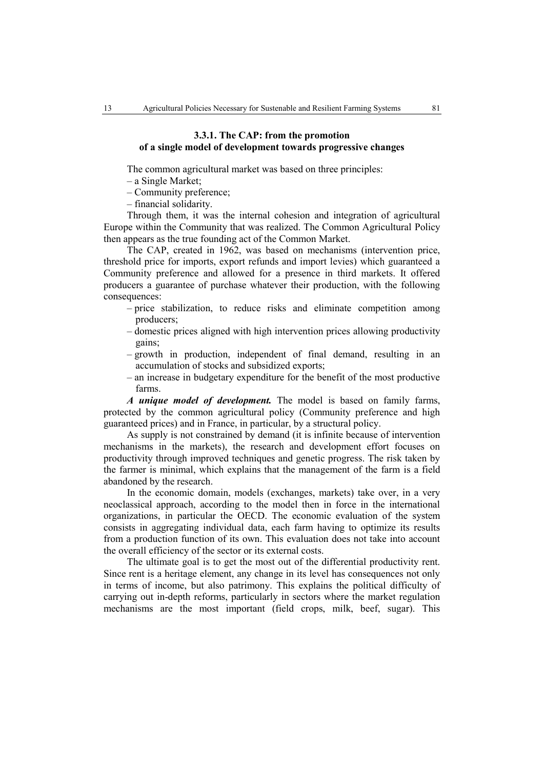# **3.3.1. The CAP: from the promotion of a single model of development towards progressive changes**

The common agricultural market was based on three principles:

– a Single Market;

– Community preference;

– financial solidarity.

Through them, it was the internal cohesion and integration of agricultural Europe within the Community that was realized. The Common Agricultural Policy then appears as the true founding act of the Common Market.

The CAP, created in 1962, was based on mechanisms (intervention price, threshold price for imports, export refunds and import levies) which guaranteed a Community preference and allowed for a presence in third markets. It offered producers a guarantee of purchase whatever their production, with the following consequences:

- price stabilization, to reduce risks and eliminate competition among producers;
- domestic prices aligned with high intervention prices allowing productivity gains;
- growth in production, independent of final demand, resulting in an accumulation of stocks and subsidized exports;
- an increase in budgetary expenditure for the benefit of the most productive farms.

*A unique model of development.* The model is based on family farms, protected by the common agricultural policy (Community preference and high guaranteed prices) and in France, in particular, by a structural policy.

As supply is not constrained by demand (it is infinite because of intervention mechanisms in the markets), the research and development effort focuses on productivity through improved techniques and genetic progress. The risk taken by the farmer is minimal, which explains that the management of the farm is a field abandoned by the research.

In the economic domain, models (exchanges, markets) take over, in a very neoclassical approach, according to the model then in force in the international organizations, in particular the OECD. The economic evaluation of the system consists in aggregating individual data, each farm having to optimize its results from a production function of its own. This evaluation does not take into account the overall efficiency of the sector or its external costs.

The ultimate goal is to get the most out of the differential productivity rent. Since rent is a heritage element, any change in its level has consequences not only in terms of income, but also patrimony. This explains the political difficulty of carrying out in-depth reforms, particularly in sectors where the market regulation mechanisms are the most important (field crops, milk, beef, sugar). This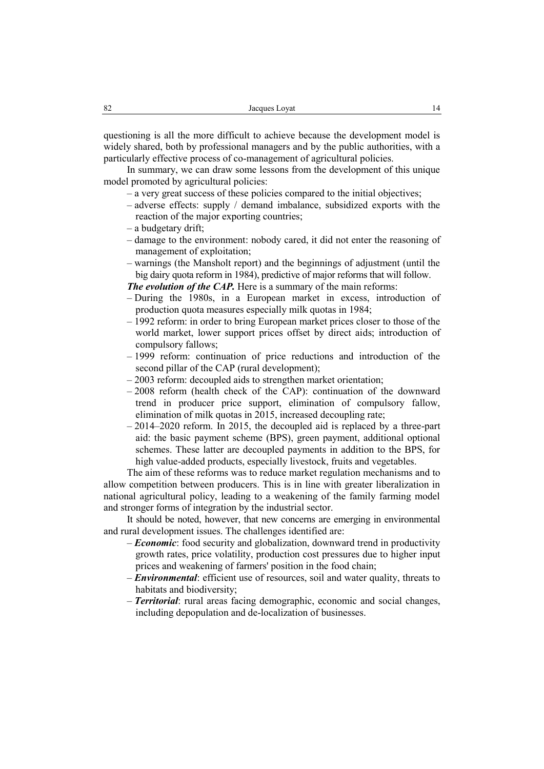questioning is all the more difficult to achieve because the development model is widely shared, both by professional managers and by the public authorities, with a particularly effective process of co-management of agricultural policies.

In summary, we can draw some lessons from the development of this unique model promoted by agricultural policies:

- a very great success of these policies compared to the initial objectives;
- adverse effects: supply / demand imbalance, subsidized exports with the reaction of the major exporting countries;
- a budgetary drift;
- damage to the environment: nobody cared, it did not enter the reasoning of management of exploitation;
- warnings (the Mansholt report) and the beginnings of adjustment (until the big dairy quota reform in 1984), predictive of major reforms that will follow.

*The evolution of the CAP.* Here is a summary of the main reforms:

- During the 1980s, in a European market in excess, introduction of production quota measures especially milk quotas in 1984;
- 1992 reform: in order to bring European market prices closer to those of the world market, lower support prices offset by direct aids; introduction of compulsory fallows;
- 1999 reform: continuation of price reductions and introduction of the second pillar of the CAP (rural development);
- 2003 reform: decoupled aids to strengthen market orientation;
- 2008 reform (health check of the CAP): continuation of the downward trend in producer price support, elimination of compulsory fallow, elimination of milk quotas in 2015, increased decoupling rate;
- 2014–2020 reform. In 2015, the decoupled aid is replaced by a three-part aid: the basic payment scheme (BPS), green payment, additional optional schemes. These latter are decoupled payments in addition to the BPS, for high value-added products, especially livestock, fruits and vegetables.

The aim of these reforms was to reduce market regulation mechanisms and to allow competition between producers. This is in line with greater liberalization in national agricultural policy, leading to a weakening of the family farming model and stronger forms of integration by the industrial sector.

It should be noted, however, that new concerns are emerging in environmental and rural development issues. The challenges identified are:

- *Economic*: food security and globalization, downward trend in productivity growth rates, price volatility, production cost pressures due to higher input prices and weakening of farmers' position in the food chain;
- *Environmental*: efficient use of resources, soil and water quality, threats to habitats and biodiversity;
- *Territorial*: rural areas facing demographic, economic and social changes, including depopulation and de-localization of businesses.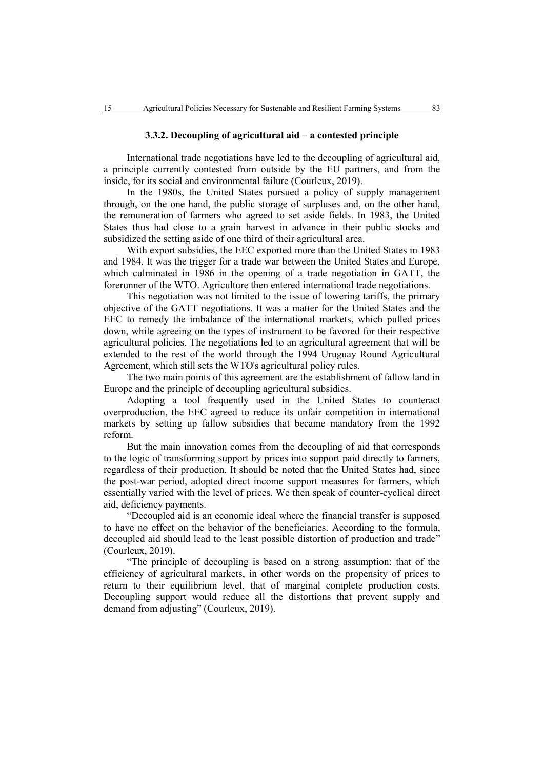#### **3.3.2. Decoupling of agricultural aid – a contested principle**

International trade negotiations have led to the decoupling of agricultural aid, a principle currently contested from outside by the EU partners, and from the inside, for its social and environmental failure (Courleux, 2019).

In the 1980s, the United States pursued a policy of supply management through, on the one hand, the public storage of surpluses and, on the other hand, the remuneration of farmers who agreed to set aside fields. In 1983, the United States thus had close to a grain harvest in advance in their public stocks and subsidized the setting aside of one third of their agricultural area.

With export subsidies, the EEC exported more than the United States in 1983 and 1984. It was the trigger for a trade war between the United States and Europe, which culminated in 1986 in the opening of a trade negotiation in GATT, the forerunner of the WTO. Agriculture then entered international trade negotiations.

This negotiation was not limited to the issue of lowering tariffs, the primary objective of the GATT negotiations. It was a matter for the United States and the EEC to remedy the imbalance of the international markets, which pulled prices down, while agreeing on the types of instrument to be favored for their respective agricultural policies. The negotiations led to an agricultural agreement that will be extended to the rest of the world through the 1994 Uruguay Round Agricultural Agreement, which still sets the WTO's agricultural policy rules.

The two main points of this agreement are the establishment of fallow land in Europe and the principle of decoupling agricultural subsidies.

Adopting a tool frequently used in the United States to counteract overproduction, the EEC agreed to reduce its unfair competition in international markets by setting up fallow subsidies that became mandatory from the 1992 reform.

But the main innovation comes from the decoupling of aid that corresponds to the logic of transforming support by prices into support paid directly to farmers, regardless of their production. It should be noted that the United States had, since the post-war period, adopted direct income support measures for farmers, which essentially varied with the level of prices. We then speak of counter-cyclical direct aid, deficiency payments.

"Decoupled aid is an economic ideal where the financial transfer is supposed to have no effect on the behavior of the beneficiaries. According to the formula, decoupled aid should lead to the least possible distortion of production and trade" (Courleux, 2019).

"The principle of decoupling is based on a strong assumption: that of the efficiency of agricultural markets, in other words on the propensity of prices to return to their equilibrium level, that of marginal complete production costs. Decoupling support would reduce all the distortions that prevent supply and demand from adjusting" (Courleux, 2019).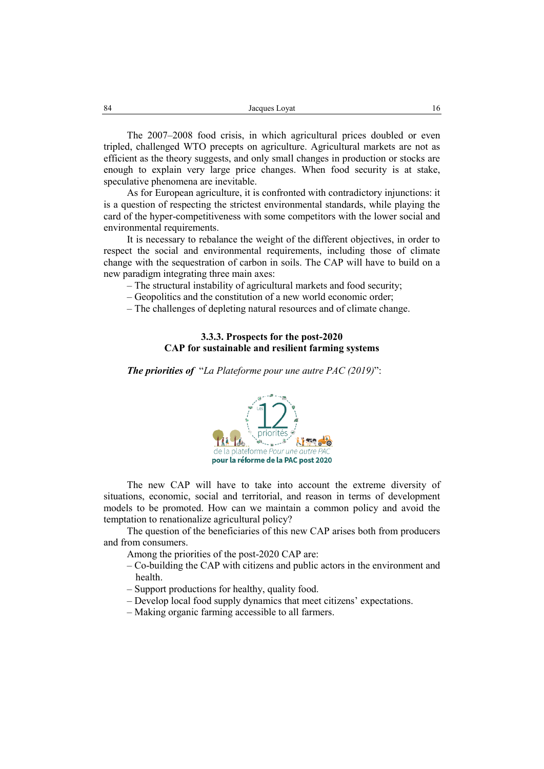The 2007–2008 food crisis, in which agricultural prices doubled or even tripled, challenged WTO precepts on agriculture. Agricultural markets are not as efficient as the theory suggests, and only small changes in production or stocks are enough to explain very large price changes. When food security is at stake, speculative phenomena are inevitable.

As for European agriculture, it is confronted with contradictory injunctions: it is a question of respecting the strictest environmental standards, while playing the card of the hyper-competitiveness with some competitors with the lower social and environmental requirements.

It is necessary to rebalance the weight of the different objectives, in order to respect the social and environmental requirements, including those of climate change with the sequestration of carbon in soils. The CAP will have to build on a new paradigm integrating three main axes:

– The structural instability of agricultural markets and food security;

– Geopolitics and the constitution of a new world economic order;

– The challenges of depleting natural resources and of climate change.

# **3.3.3. Prospects for the post-2020 CAP for sustainable and resilient farming systems**

*The priorities of* "*La Plateforme pour une autre PAC (2019)*":



The new CAP will have to take into account the extreme diversity of situations, economic, social and territorial, and reason in terms of development models to be promoted. How can we maintain a common policy and avoid the temptation to renationalize agricultural policy?

The question of the beneficiaries of this new CAP arises both from producers and from consumers.

Among the priorities of the post-2020 CAP are:

- Co-building the CAP with citizens and public actors in the environment and health.
- Support productions for healthy, quality food.
- Develop local food supply dynamics that meet citizens' expectations.
- Making organic farming accessible to all farmers.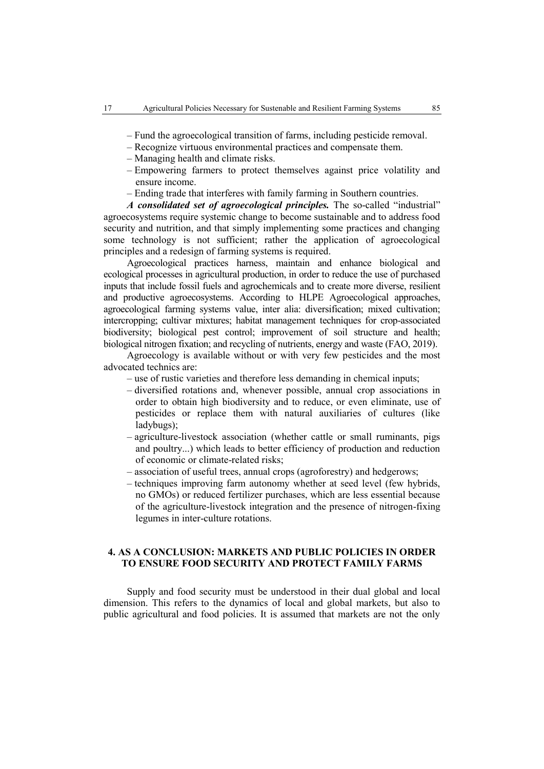- Fund the agroecological transition of farms, including pesticide removal.
- Recognize virtuous environmental practices and compensate them.
- Managing health and climate risks.
- Empowering farmers to protect themselves against price volatility and ensure income.
- Ending trade that interferes with family farming in Southern countries.

*A consolidated set of agroecological principles.* The so-called "industrial" agroecosystems require systemic change to become sustainable and to address food security and nutrition, and that simply implementing some practices and changing some technology is not sufficient; rather the application of agroecological principles and a redesign of farming systems is required.

Agroecological practices harness, maintain and enhance biological and ecological processes in agricultural production, in order to reduce the use of purchased inputs that include fossil fuels and agrochemicals and to create more diverse, resilient and productive agroecosystems. According to HLPE Agroecological approaches, agroecological farming systems value, inter alia: diversification; mixed cultivation; intercropping; cultivar mixtures; habitat management techniques for crop-associated biodiversity; biological pest control; improvement of soil structure and health; biological nitrogen fixation; and recycling of nutrients, energy and waste (FAO, 2019).

Agroecology is available without or with very few pesticides and the most advocated technics are:

- use of rustic varieties and therefore less demanding in chemical inputs;
- diversified rotations and, whenever possible, annual crop associations in order to obtain high biodiversity and to reduce, or even eliminate, use of pesticides or replace them with natural auxiliaries of cultures (like ladybugs);
- agriculture-livestock association (whether cattle or small ruminants, pigs and poultry...) which leads to better efficiency of production and reduction of economic or climate-related risks;
- association of useful trees, annual crops (agroforestry) and hedgerows;
- techniques improving farm autonomy whether at seed level (few hybrids, no GMOs) or reduced fertilizer purchases, which are less essential because of the agriculture-livestock integration and the presence of nitrogen-fixing legumes in inter-culture rotations.

# **4. AS A CONCLUSION: MARKETS AND PUBLIC POLICIES IN ORDER TO ENSURE FOOD SECURITY AND PROTECT FAMILY FARMS**

Supply and food security must be understood in their dual global and local dimension. This refers to the dynamics of local and global markets, but also to public agricultural and food policies. It is assumed that markets are not the only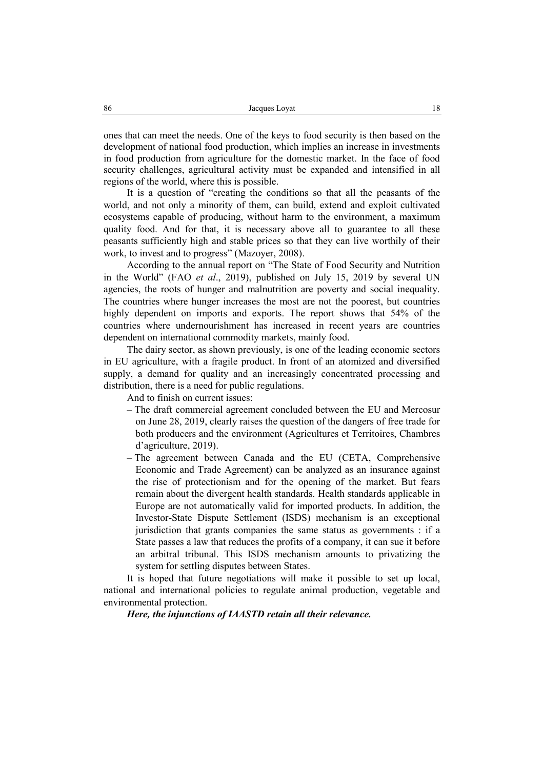ones that can meet the needs. One of the keys to food security is then based on the development of national food production, which implies an increase in investments in food production from agriculture for the domestic market. In the face of food security challenges, agricultural activity must be expanded and intensified in all regions of the world, where this is possible.

It is a question of "creating the conditions so that all the peasants of the world, and not only a minority of them, can build, extend and exploit cultivated ecosystems capable of producing, without harm to the environment, a maximum quality food. And for that, it is necessary above all to guarantee to all these peasants sufficiently high and stable prices so that they can live worthily of their work, to invest and to progress" (Mazoyer, 2008).

According to the annual report on "The State of Food Security and Nutrition in the World" (FAO *et al*., 2019), published on July 15, 2019 by several UN agencies, the roots of hunger and malnutrition are poverty and social inequality. The countries where hunger increases the most are not the poorest, but countries highly dependent on imports and exports. The report shows that 54% of the countries where undernourishment has increased in recent years are countries dependent on international commodity markets, mainly food.

The dairy sector, as shown previously, is one of the leading economic sectors in EU agriculture, with a fragile product. In front of an atomized and diversified supply, a demand for quality and an increasingly concentrated processing and distribution, there is a need for public regulations.

And to finish on current issues:

- The draft commercial agreement concluded between the EU and Mercosur on June 28, 2019, clearly raises the question of the dangers of free trade for both producers and the environment (Agricultures et Territoires, Chambres d'agriculture, 2019).
- The agreement between Canada and the EU (CETA, Comprehensive Economic and Trade Agreement) can be analyzed as an insurance against the rise of protectionism and for the opening of the market. But fears remain about the divergent health standards. Health standards applicable in Europe are not automatically valid for imported products. In addition, the Investor-State Dispute Settlement (ISDS) mechanism is an exceptional jurisdiction that grants companies the same status as governments : if a State passes a law that reduces the profits of a company, it can sue it before an arbitral tribunal. This ISDS mechanism amounts to privatizing the system for settling disputes between States.

It is hoped that future negotiations will make it possible to set up local, national and international policies to regulate animal production, vegetable and environmental protection.

*Here, the injunctions of IAASTD retain all their relevance.*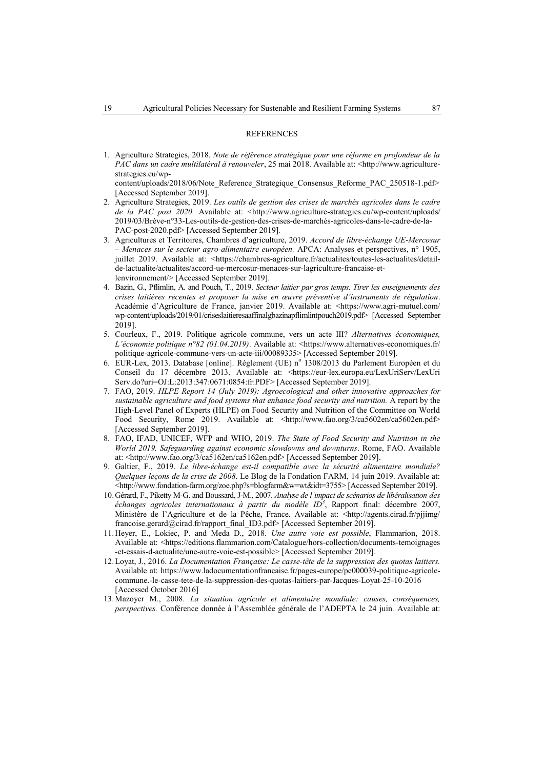#### **REFERENCES**

1. Agriculture Strategies, 2018. *Note de référence stratégique pour une réforme en profondeur de la PAC dans un cadre multilatéral à renouveler*, 25 mai 2018. Available at: <http://www.agriculturestrategies.eu/wp-

content/uploads/2018/06/Note\_Reference\_Strategique\_Consensus\_Reforme\_PAC\_250518-1.pdf> [Accessed September 2019].

- 2. Agriculture Strategies, 2019. *Les outils de gestion des crises de marchés agricoles dans le cadre de la PAC post 2020.* Available at: <http://www.agriculture-strategies.eu/wp-content/uploads/ 2019/03/Brève-n°33-Les-outils-de-gestion-des-crises-de-marchés-agricoles-dans-le-cadre-de-la-PAC-post-2020.pdf> [Accessed September 2019]*.*
- 3. Agricultures et Territoires, Chambres d'agriculture, 2019. *Accord de libre-échange UE-Mercosur – Menaces sur le secteur agro-alimentaire européen.* APCA: Analyses et perspectives, n° 1905, juillet 2019. Available at: <https://chambres-agriculture.fr/actualites/toutes-les-actualites/detailde-lactualite/actualites/accord-ue-mercosur-menaces-sur-lagriculture-francaise-etlenvironnement/> [Accessed September 2019].
- 4. Bazin, G., Pflimlin, A. and Pouch, T., 2019. *Secteur laitier par gros temps. Tirer les enseignements des crises laitières récentes et proposer la mise en œuvre préventive d'instruments de régulation*. Académie d'Agriculture de France, janvier 2019. Available at: <https://www.agri-mutuel.com/ wp-content/uploads/2019/01/criseslaitieresaaffinalgbazinapflimlintpouch2019.pdf> [Accessed September 2019].
- 5. Courleux, F., 2019. Politique agricole commune, vers un acte III? *Alternatives économiques, L'économie politique n°82 (01.04.2019)*. Available at: <https://www.alternatives-economiques.fr/ politique-agricole-commune-vers-un-acte-iii/00089335> [Accessed September 2019].
- 6. EUR-Lex, 2013. Database [online]. Règlement (UE) nº 1308/2013 du Parlement Européen et du Conseil du 17 décembre 2013. Available at: <https://eur-lex.europa.eu/LexUriServ/LexUri Serv.do?uri=OJ:L:2013:347:0671:0854:fr:PDF> [Accessed September 2019].
- 7. FAO, 2019. *HLPE Report 14 (July 2019): Agroecological and other innovative approaches for sustainable agriculture and food systems that enhance food security and nutrition.* A report by the High-Level Panel of Experts (HLPE) on Food Security and Nutrition of the Committee on World Food Security, Rome 2019. Available at: <http://www.fao.org/3/ca5602en/ca5602en.pdf> [Accessed September 2019].
- 8. FAO, IFAD, UNICEF, WFP and WHO, 2019. *The State of Food Security and Nutrition in the World 2019. Safeguarding against economic slowdowns and downturns*. Rome, FAO. Available at: <http://www.fao.org/3/ca5162en/ca5162en.pdf> [Accessed September 2019].
- 9. Galtier, F., 2019. *Le libre-échange est-il compatible avec la sécurité alimentaire mondiale? Quelques leçons de la crise de 2008*. Le Blog de la Fondation FARM, 14 juin 2019. Available at: <http://www.fondation-farm.org/zoe.php?s=blogfarm&w=wt&idt=3755> [Accessed September 2019].
- 10.Gérard, F., Piketty M-G. and Boussard, J-M., 2007. *Analyse de l'impact de scénarios de libéralisation des échanges agricoles internationaux à partir du modèle ID<sup>3</sup>* , Rapport final: décembre 2007, Ministère de l'Agriculture et de la Pêche, France. Available at: <http://agents.cirad.fr/pjjimg/ francoise.gerard@cirad.fr/rapport\_final\_ID3.pdf> [Accessed September 2019].
- 11.Heyer, E., Lokiec, P. and Meda D., 2018. *Une autre voie est possible*, Flammarion, 2018. Available at: <https://editions.flammarion.com/Catalogue/hors-collection/documents-temoignages -et-essais-d-actualite/une-autre-voie-est-possible> [Accessed September 2019].
- 12.Loyat, J., 2016. *La Documentation Française: Le casse-tête de la suppression des quotas laitiers.* Available at: https://www.ladocumentationfrancaise.fr/pages-europe/pe000039-politique-agricolecommune.-le-casse-tete-de-la-suppression-des-quotas-laitiers-par-Jacques-Loyat-25-10-2016 [Accessed October 2016]
- 13.Mazoyer M., 2008. *La situation agricole et alimentaire mondiale: causes, conséquences, perspectives.* Conférence donnée à l'Assemblée générale de l'ADEPTA le 24 juin. Available at: